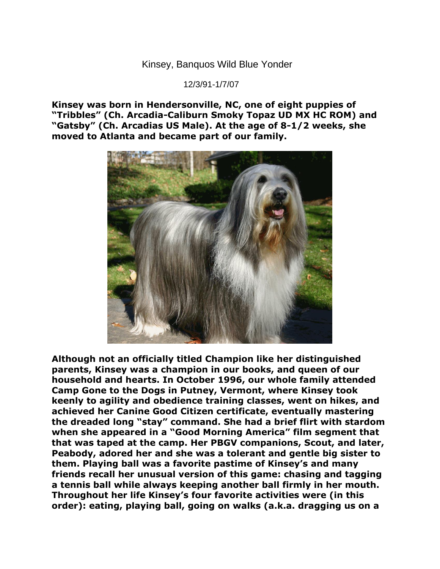Kinsey, Banquos Wild Blue Yonder

12/3/91-1/7/07

**Kinsey was born in Hendersonville, NC, one of eight puppies of "Tribbles" (Ch. Arcadia-Caliburn Smoky Topaz UD MX HC ROM) and "Gatsby" (Ch. Arcadias US Male). At the age of 8-1/2 weeks, she moved to Atlanta and became part of our family.**



**Although not an officially titled Champion like her distinguished parents, Kinsey was a champion in our books, and queen of our household and hearts. In October 1996, our whole family attended Camp Gone to the Dogs in Putney, Vermont, where Kinsey took keenly to agility and obedience training classes, went on hikes, and achieved her Canine Good Citizen certificate, eventually mastering the dreaded long "stay" command. She had a brief flirt with stardom when she appeared in a "Good Morning America" film segment that that was taped at the camp. Her PBGV companions, Scout, and later, Peabody, adored her and she was a tolerant and gentle big sister to them. Playing ball was a favorite pastime of Kinsey's and many friends recall her unusual version of this game: chasing and tagging a tennis ball while always keeping another ball firmly in her mouth. Throughout her life Kinsey's four favorite activities were (in this order): eating, playing ball, going on walks (a.k.a. dragging us on a**